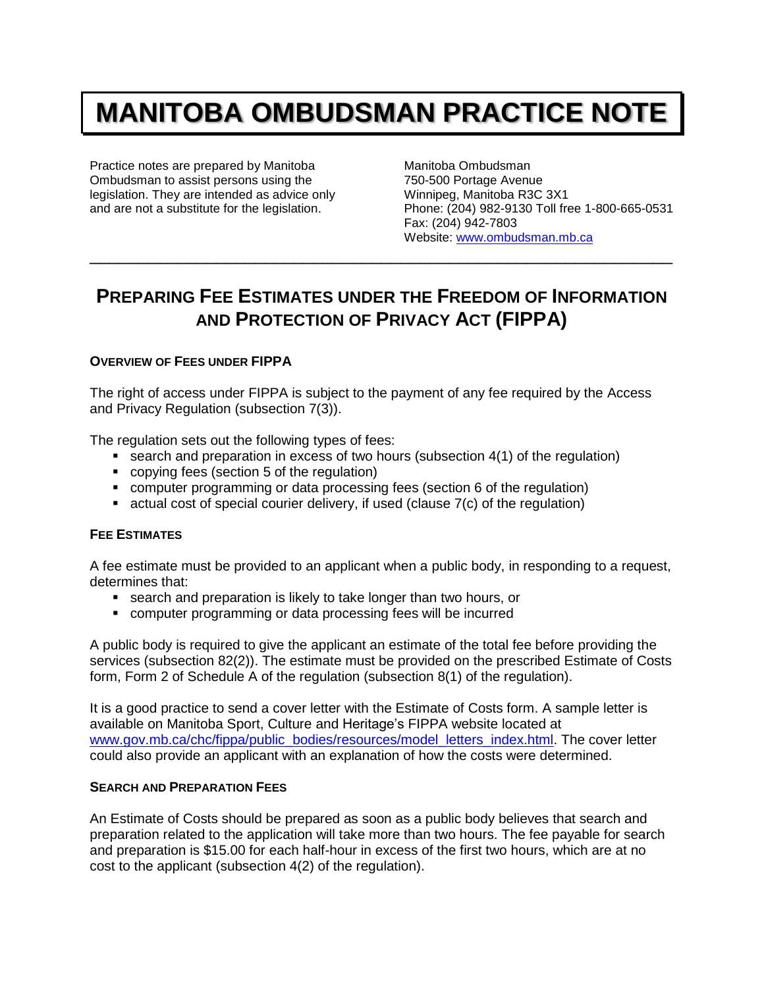# **MANITOBA OMBUDSMAN PRACTICE NOTE**

Practice notes are prepared by Manitoba Ombudsman to assist persons using the legislation. They are intended as advice only and are not a substitute for the legislation.

Manitoba Ombudsman 750-500 Portage Avenue Winnipeg, Manitoba R3C 3X1 Phone: (204) 982-9130 Toll free 1-800-665-0531 Fax: (204) 942-7803 Website: [www.ombudsman.mb.ca](http://www.ombudsman.mb.ca/)

# **PREPARING FEE ESTIMATES UNDER THE FREEDOM OF INFORMATION AND PROTECTION OF PRIVACY ACT (FIPPA)**

\_\_\_\_\_\_\_\_\_\_\_\_\_\_\_\_\_\_\_\_\_\_\_\_\_\_\_\_\_\_\_\_\_\_\_\_\_\_\_\_\_\_\_\_\_\_\_\_\_\_\_\_\_\_\_\_\_\_\_\_

# **OVERVIEW OF FEES UNDER FIPPA**

The right of access under FIPPA is subject to the payment of any fee required by the Access and Privacy Regulation (subsection 7(3)).

The regulation sets out the following types of fees:

- $\blacksquare$  search and preparation in excess of two hours (subsection 4(1) of the regulation)
- copying fees (section 5 of the regulation)
- computer programming or data processing fees (section 6 of the regulation)
- $\blacksquare$  actual cost of special courier delivery, if used (clause  $7(c)$  of the regulation)

### **FEE ESTIMATES**

A fee estimate must be provided to an applicant when a public body, in responding to a request, determines that:

- **search and preparation is likely to take longer than two hours, or**
- computer programming or data processing fees will be incurred

A public body is required to give the applicant an estimate of the total fee before providing the services (subsection 82(2)). The estimate must be provided on the prescribed Estimate of Costs form, Form 2 of Schedule A of the regulation (subsection 8(1) of the regulation).

It is a good practice to send a cover letter with the Estimate of Costs form. A sample letter is available on Manitoba Sport, Culture and Heritage's FIPPA website located at [www.gov.mb.ca/chc/fippa/public\\_bodies/resources/model\\_letters\\_index.html.](http://www.gov.mb.ca/chc/fippa/public_bodies/resources/model_letters_index.html) The cover letter could also provide an applicant with an explanation of how the costs were determined.

### **SEARCH AND PREPARATION FEES**

An Estimate of Costs should be prepared as soon as a public body believes that search and preparation related to the application will take more than two hours. The fee payable for search and preparation is \$15.00 for each half-hour in excess of the first two hours, which are at no cost to the applicant (subsection 4(2) of the regulation).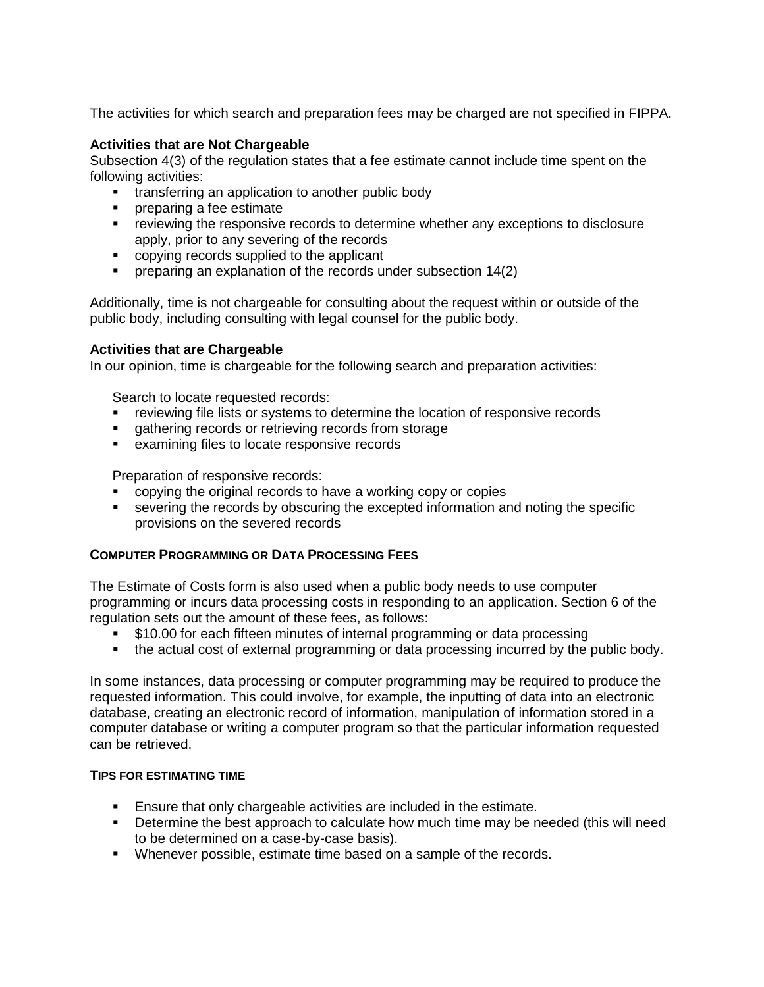The activities for which search and preparation fees may be charged are not specified in FIPPA.

# **Activities that are Not Chargeable**

Subsection 4(3) of the regulation states that a fee estimate cannot include time spent on the following activities:

- **transferring an application to another public body**
- **Part Preparing a fee estimate**
- **•** reviewing the responsive records to determine whether any exceptions to disclosure apply, prior to any severing of the records
- copying records supplied to the applicant
- **Permet preparing an explanation of the records under subsection 14(2)**

Additionally, time is not chargeable for consulting about the request within or outside of the public body, including consulting with legal counsel for the public body.

# **Activities that are Chargeable**

In our opinion, time is chargeable for the following search and preparation activities:

Search to locate requested records:

- **•** reviewing file lists or systems to determine the location of responsive records
- **qathering records or retrieving records from storage**
- **EXAMINIOUS** examining files to locate responsive records

Preparation of responsive records:

- copying the original records to have a working copy or copies
- severing the records by obscuring the excepted information and noting the specific provisions on the severed records

# **COMPUTER PROGRAMMING OR DATA PROCESSING FEES**

The Estimate of Costs form is also used when a public body needs to use computer programming or incurs data processing costs in responding to an application. Section 6 of the regulation sets out the amount of these fees, as follows:

- \$10.00 for each fifteen minutes of internal programming or data processing
- the actual cost of external programming or data processing incurred by the public body.

In some instances, data processing or computer programming may be required to produce the requested information. This could involve, for example, the inputting of data into an electronic database, creating an electronic record of information, manipulation of information stored in a computer database or writing a computer program so that the particular information requested can be retrieved.

### **TIPS FOR ESTIMATING TIME**

- Ensure that only chargeable activities are included in the estimate.
- **•** Determine the best approach to calculate how much time may be needed (this will need to be determined on a case-by-case basis).
- Whenever possible, estimate time based on a sample of the records.